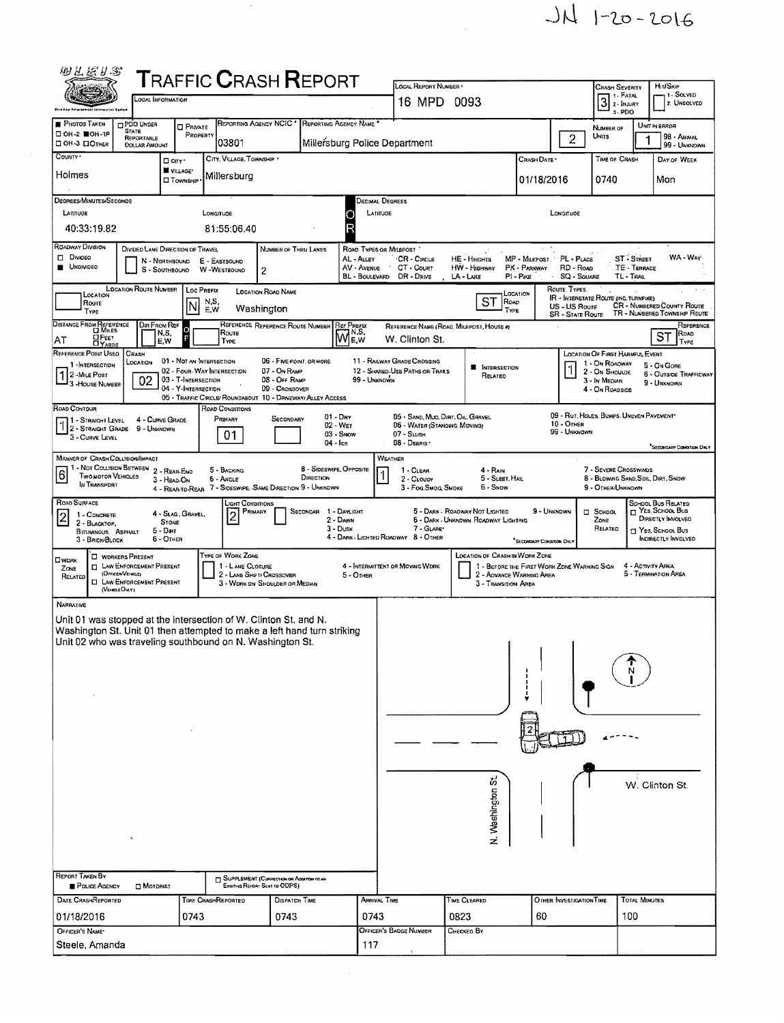

 $\label{eq:2} \frac{1}{2} \sum_{i=1}^n \frac{1}{2} \sum_{j=1}^n \frac{1}{2} \sum_{j=1}^n \frac{1}{2} \sum_{j=1}^n \frac{1}{2} \sum_{j=1}^n \frac{1}{2} \sum_{j=1}^n \frac{1}{2} \sum_{j=1}^n \frac{1}{2} \sum_{j=1}^n \frac{1}{2} \sum_{j=1}^n \frac{1}{2} \sum_{j=1}^n \frac{1}{2} \sum_{j=1}^n \frac{1}{2} \sum_{j=1}^n \frac{1}{2} \sum_{j=1}^n \frac{1}{$ 

| 羽孔医り念                                                                                                                                |                                                                        |                                                | <b>TRAFFIC CRASH REPORT</b>                                                    |                                                             |                               |                           | LOCAL REPORT NUMBER *                                                              |                                          |                                             |                                          | <b>CRASH SEVERITY</b>                                   | Hit/Skip<br>1 SOLVED                                              |
|--------------------------------------------------------------------------------------------------------------------------------------|------------------------------------------------------------------------|------------------------------------------------|--------------------------------------------------------------------------------|-------------------------------------------------------------|-------------------------------|---------------------------|------------------------------------------------------------------------------------|------------------------------------------|---------------------------------------------|------------------------------------------|---------------------------------------------------------|-------------------------------------------------------------------|
|                                                                                                                                      | LOCAL INFORMATION                                                      |                                                |                                                                                |                                                             |                               |                           | 16 MPD 0093                                                                        |                                          |                                             |                                          | 1 - FATAL<br>$3 - PDO$                                  | 2. UNSOLVED                                                       |
| <b>PHOTOS TAKEN</b><br>□ ОН-2 ■ОН-1Р                                                                                                 | <b>DPDO UNDER</b><br><b>STATE</b>                                      | <b>O</b> PRIVATE                               |                                                                                | REPORTING AGENCY NCIC                                       | REPORTING AGENCY NAME         |                           |                                                                                    |                                          |                                             |                                          | NUMBER OF                                               | UNIT IN ERROR                                                     |
| □ ОН-З □ ОТНЕР                                                                                                                       | REPORTABLE<br><b>DOLLAR AMOUNT</b>                                     | PROPERTY                                       | 03801                                                                          |                                                             |                               |                           | Millersburg Police Department                                                      |                                          |                                             | $\overline{2}$                           | Units                                                   | <b>98 - ANIMAL</b><br>99 - UNKNOWN                                |
| COUNTY *                                                                                                                             |                                                                        | D cm '<br>VILLAGE*                             | CITY, VILLAGE, TOWNSHIP                                                        |                                                             |                               |                           |                                                                                    |                                          | CRASH DATE *                                |                                          | TIME OF CRASH                                           | DAY OF WEEK                                                       |
| Holmes                                                                                                                               |                                                                        | <b>Township</b>                                | Millersburg                                                                    |                                                             |                               |                           |                                                                                    |                                          | 01/18/2016                                  |                                          | 0740                                                    | Mon                                                               |
| DEGREES/MINUTES/SECONDS<br>LATITUDE                                                                                                  |                                                                        |                                                | LONGITUDE                                                                      |                                                             |                               |                           | DECIMAL DEGREES<br>LATITUDE                                                        |                                          |                                             | LONGITUDE                                |                                                         |                                                                   |
| 40:33:19.82                                                                                                                          |                                                                        |                                                | 81:55:06.40                                                                    |                                                             |                               | С<br>F                    |                                                                                    |                                          |                                             |                                          |                                                         |                                                                   |
| <b>ROADWAY DIVISION</b>                                                                                                              | DIVIDED LANE DIRECTION OF TRAVEL                                       |                                                |                                                                                | NUMBER OF THRU LANES                                        |                               |                           | ROAD TYPES OR MILEPOST                                                             |                                          |                                             |                                          |                                                         |                                                                   |
| D Divideo<br><b>UNDIVIDED</b>                                                                                                        |                                                                        | N - NORTHBOUND<br>S - SOUTHBOUND               | E - EASTBOUND<br>W-WESTBOUND                                                   | 2                                                           |                               | AL - ALLEY<br>AV - AVENUE | CR - CIRCLE<br>CT - Count                                                          | <b>HE-HEIGHTS</b><br>HW - Highway        | MP - MILEPOST PL - PLACE<br>PK - PARKWAY    | RD - Roap                                |                                                         | WA - WAY<br>ST - STREET<br>TE - TERRACE                           |
| LOCATION                                                                                                                             | <b>LOCATION ROUTE NUMBER</b>                                           | <b>Loc Prerix</b>                              |                                                                                | <b>LOCATION ROAD NAME</b>                                   |                               |                           | BL - BOULEVARD DR - DRIVE                                                          | LA - LANE                                | PI - Pike<br>LOCATION                       | <b>SQ - SQUARE</b><br>Route Types        | TL-TRAL                                                 |                                                                   |
| Route<br>TYPE                                                                                                                        |                                                                        | N                                              | N.S,<br>E,W                                                                    | Washington                                                  |                               |                           |                                                                                    | <b>ST</b><br>ROAD<br>TYPE                |                                             | US - US Route<br><b>SR - STATE ROUTE</b> | <b>IR - INTERSTATE ROUTE (INC. TURNPIKE)</b>            | <b>CR</b> - NUMBERED COUNTY ROUTE<br>TR - NUMBERED TOWNSHIP ROUTE |
| DISTANCE FROM REPERENCE                                                                                                              | Din From Ref                                                           | $\frac{0}{F}$<br>N,S.                          | Route                                                                          | REFERENCE REFERENCE ROUTE NUMBER                            |                               | <b>REFPREFIX</b>          |                                                                                    | REFERENCE NAME (ROAD, MILEPOST, HOUSE #) |                                             |                                          |                                                         |                                                                   |
| ∐Fеет<br>AT<br><b>DYARDS</b><br>REFERENCE POINT USED                                                                                 | CRASH                                                                  | E,W                                            | <b>TYPE</b>                                                                    |                                                             |                               | <b>MAR</b> <sub>E,W</sub> | W. Clinton St.                                                                     |                                          |                                             |                                          | <b>LOCATION OF FIRST HARMFUL EVENT</b>                  | ST                                                                |
| 1 -INTERSECTION<br>2 - MILE Post                                                                                                     | LOCATION                                                               | 01 - NOT AN INTERSECTION                       | 02 - FOUR-WAY INTERSECTION                                                     | 06 - FIVE-POINT, OR MORE<br>07 - On RAMP                    |                               |                           | 11 - RAILWAY GRADE CROSSING<br>12 - SHARED-USE PATHS OR TRAILS                     | <b>B</b> INTERSECTION                    |                                             | $\mathring{\phantom{a}}$                 | 1 - On ROADWAY<br>2 - ON SHOULDE                        | 5 - On Gore<br><b>6 - OUTSIDE TRAFFICWAY</b>                      |
| J 3 - House Number                                                                                                                   | 02                                                                     | 03 - T-Intersection<br>04 - Y-INTERSECTION     |                                                                                | 08 - Off RAMP<br>09 - CROSSOVER                             |                               | 99 - UNKNOWN              |                                                                                    | RELATED                                  |                                             |                                          | 3 In Median<br>4 - On Roadside                          | 9 - UNKHOWN                                                       |
| ROAD CONTOUR                                                                                                                         |                                                                        |                                                | 05 - TRAFFIC CIRCLE/ ROUNDABOUT 10 - DRIVEWAY/ ALLEY ACCESS<br>ROAD CONDITIONS |                                                             |                               |                           |                                                                                    |                                          |                                             |                                          |                                                         |                                                                   |
| 1 - STRAIGHT LEVEL                                                                                                                   | 4 - CURVE GRADE<br>9 - UNKNOWN                                         |                                                | PRIMARY                                                                        | SECONDARY                                                   | $01 - \text{Dry}$<br>02 - Wer |                           | 05 - SAND, MUD, DIRT, OIL, GRAVEL<br>06 - WATER (STANDING, MOVING)<br>$07 -$ SLUSH |                                          |                                             | 10 - OTHER<br>99 - UNKNOWN               | 09 - RUT, HOLES, BUMPS, UNEVEN PAVEMENT*                |                                                                   |
| <b>3 - CURVE LEVEL</b>                                                                                                               |                                                                        |                                                | 01                                                                             |                                                             | $04 - lcE$                    | 03 - Snow                 | 08 - Deans ·                                                                       |                                          |                                             |                                          |                                                         | <sup>*</sup> SECONDARY CONDITION DWLY                             |
| <b>MANNER OF CRASH COLLISION/IMPACT</b><br>1 - Not Collision Between 2 - Rear-Eng                                                    |                                                                        |                                                | 5 - BACKING                                                                    |                                                             | 8 - SIDESWIPE, OPPOSITE       |                           | WEATHER<br>1 - CLEAR                                                               | 4 - RAIN                                 |                                             |                                          | 7 - SEVERE CROSSWINDS                                   |                                                                   |
| 6<br><b>TWO MOTOR VEHICLES</b><br>IN TRANSPORT                                                                                       |                                                                        | 3 - HEAD-ON                                    | 6 - ANGLE<br>4 - REAR-TO-REAR 7 - SIDESWIPE, SAME DIRECTION 9 - UNKNOWN        |                                                             | DIRECTION                     |                           | 2 - CLOUDY<br>3 - Fog, Smog, Smoke                                                 | 5 - SLEET, HAIL<br>6 - Snow              |                                             |                                          | 8 - BLOWING SAND, SOIL, DIRT, SNOW<br>9 - OTHER/UNKNOWN |                                                                   |
| ROAD SURFACE                                                                                                                         |                                                                        |                                                | LIGHT CONDITIONS                                                               | PRIMARY                                                     | SECONDAR 1 - DAYLIGHT         |                           |                                                                                    | 5 - DARK - ROADWAY NOT LIGHTED           | 9 - UNKNOWN                                 |                                          |                                                         | SCHOOL BUS RELATED<br>YES. SCHOOL BUS                             |
| 1 - CONCRETE<br>I٥<br>2 - BLACKTOP,                                                                                                  |                                                                        | 4 - SLAG, GRAVEL,<br><b>STONE</b><br>$5 -$ Dar | 2                                                                              |                                                             |                               | 2 - DAWN<br>$3 -$ Dusk    | 7 - GLARE'                                                                         | 6 - DARK - UNKNOWN ROADWAY LIGHTING      |                                             |                                          | $\Box$ SCHOOL<br>ZONE<br>RELATED                        | DIRECTLY INVOLVED<br>T YES, SCHOOL BUS                            |
| <b>BITUMINOUS, ASPHALT</b><br>3 - BRICK/BLOCK                                                                                        |                                                                        | $6 -$ OTHER                                    |                                                                                |                                                             |                               |                           | 4 - DARK - LIGHTED ROADWAY 8 - OTHER                                               |                                          | <sup>*</sup> Secondary Condition Only       |                                          |                                                         | <b>INDIRECTLY INVOLVED</b>                                        |
| $\square$ work<br>ZONE                                                                                                               | <b>U</b> WORKERS PRESENT<br><b>CI LAW ENFORCEMENT PRESENT</b>          |                                                | TYPE OF WORK ZONE<br>1 - LANE CLOSURE                                          |                                                             |                               |                           | 4 - INTERMITTENT OR MOVING WORK                                                    | LOCATION OF CRASH IN WORK ZONE           | 1 - BEFORE THE FIRST WORK ZONE WARNING SIGN |                                          |                                                         | 4 - ACTIVITY AREA                                                 |
| RELATED                                                                                                                              | (OFFICER/VEHICLE)<br><b>CI LAW ENFORCEMENT PRESENT</b><br>(VEHRLEOKLY) |                                                |                                                                                | 2 - LANE SHIFT/ CROSSOVER<br>3 - WORK ON SHOULDER OR MEDIAN |                               | 5 - OTHER                 |                                                                                    | 3 - Transition Area                      | 2 - AOVANCE WARNING AREA                    |                                          |                                                         | 5 - TERMINATION AREA                                              |
| <b>NARRATIVE</b>                                                                                                                     |                                                                        |                                                |                                                                                |                                                             |                               |                           |                                                                                    |                                          |                                             |                                          |                                                         |                                                                   |
| Unit 01 was stopped at the intersection of W. Clinton St. and N.                                                                     |                                                                        |                                                |                                                                                |                                                             |                               |                           |                                                                                    |                                          |                                             |                                          |                                                         |                                                                   |
| Washington St. Unit 01 then attempted to make a left hand turn striking<br>Unit 02 who was traveling southbound on N. Washington St. |                                                                        |                                                |                                                                                |                                                             |                               |                           |                                                                                    |                                          |                                             |                                          |                                                         |                                                                   |
|                                                                                                                                      |                                                                        |                                                |                                                                                |                                                             |                               |                           |                                                                                    |                                          |                                             |                                          |                                                         |                                                                   |
|                                                                                                                                      |                                                                        |                                                |                                                                                |                                                             |                               |                           |                                                                                    |                                          |                                             |                                          |                                                         |                                                                   |
|                                                                                                                                      |                                                                        |                                                |                                                                                |                                                             |                               |                           |                                                                                    |                                          |                                             |                                          |                                                         |                                                                   |
|                                                                                                                                      |                                                                        |                                                |                                                                                |                                                             |                               |                           |                                                                                    |                                          |                                             |                                          |                                                         |                                                                   |
|                                                                                                                                      |                                                                        |                                                |                                                                                |                                                             |                               |                           |                                                                                    |                                          |                                             |                                          |                                                         |                                                                   |
|                                                                                                                                      |                                                                        |                                                |                                                                                |                                                             |                               |                           |                                                                                    |                                          |                                             |                                          |                                                         |                                                                   |
|                                                                                                                                      |                                                                        |                                                |                                                                                |                                                             |                               |                           |                                                                                    | ö,                                       |                                             |                                          |                                                         |                                                                   |
|                                                                                                                                      |                                                                        |                                                |                                                                                |                                                             |                               |                           |                                                                                    |                                          |                                             |                                          |                                                         | W. Clinton St.                                                    |
|                                                                                                                                      |                                                                        |                                                |                                                                                |                                                             |                               |                           |                                                                                    | N. Washington                            |                                             |                                          |                                                         |                                                                   |
|                                                                                                                                      |                                                                        |                                                |                                                                                |                                                             |                               |                           |                                                                                    |                                          |                                             |                                          |                                                         |                                                                   |
|                                                                                                                                      |                                                                        |                                                |                                                                                |                                                             |                               |                           |                                                                                    |                                          |                                             |                                          |                                                         |                                                                   |
|                                                                                                                                      |                                                                        |                                                |                                                                                |                                                             |                               |                           |                                                                                    |                                          |                                             |                                          |                                                         |                                                                   |
| REPORT TAKEN BY                                                                                                                      |                                                                        |                                                |                                                                                | <b>COPPLEMENT (CORRECTION OR ADDITION TO AN</b>             |                               |                           |                                                                                    |                                          |                                             |                                          |                                                         |                                                                   |
| POLICE AGENCY<br>DATE CRASHREPORTED                                                                                                  | $\square$ Motorist                                                     |                                                |                                                                                | Existing Report Sent to ODPS)                               |                               |                           |                                                                                    |                                          |                                             | OTHER INVESTIGATION TIME                 |                                                         |                                                                   |
| 01/18/2016                                                                                                                           |                                                                        | 0743                                           | TIME CRASHREPORTED                                                             | DISPATCH TIME<br>0743                                       |                               | 0743                      | ARRIVAL TIME                                                                       | TIME CLEARED<br>0823                     | 60                                          |                                          | 100                                                     | <b>TOTAL MINUTES</b>                                              |
| OFFICER'S NAME*<br>Steele, Amanda                                                                                                    |                                                                        |                                                |                                                                                |                                                             |                               | 117                       | <b>OFFICER'S BADGE NUMBER</b>                                                      | CHECKED BY                               |                                             |                                          |                                                         |                                                                   |

 $\mathcal{L}^{\text{max}}_{\text{max}}$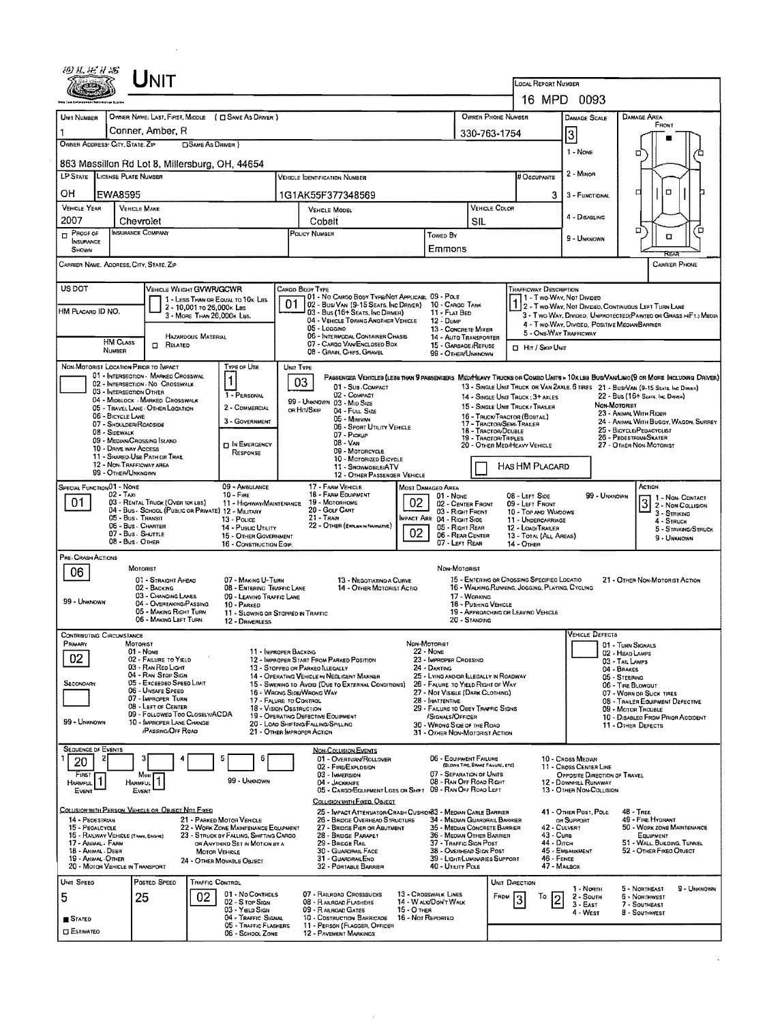|                                                                                                    |                                                                                                                                                                                                                                                                                                             | JNIT                                                                                                                                                               |                                                                                                                                                                                                    |           |                                                                                                                                                                                                                                                                                                                         |             |                                                                                                                                                                                                                                                                                                   |                                                                                                                                             |                                                                                                                                        | LOCAL REPORT NUMBER                                                                                                                            | 16 MPD 0093                                                                                                                      |                                                                                                                                                                                                                                                                            |  |  |
|----------------------------------------------------------------------------------------------------|-------------------------------------------------------------------------------------------------------------------------------------------------------------------------------------------------------------------------------------------------------------------------------------------------------------|--------------------------------------------------------------------------------------------------------------------------------------------------------------------|----------------------------------------------------------------------------------------------------------------------------------------------------------------------------------------------------|-----------|-------------------------------------------------------------------------------------------------------------------------------------------------------------------------------------------------------------------------------------------------------------------------------------------------------------------------|-------------|---------------------------------------------------------------------------------------------------------------------------------------------------------------------------------------------------------------------------------------------------------------------------------------------------|---------------------------------------------------------------------------------------------------------------------------------------------|----------------------------------------------------------------------------------------------------------------------------------------|------------------------------------------------------------------------------------------------------------------------------------------------|----------------------------------------------------------------------------------------------------------------------------------|----------------------------------------------------------------------------------------------------------------------------------------------------------------------------------------------------------------------------------------------------------------------------|--|--|
| Unit Number                                                                                        | Conner, Amber, R<br>OWNER ADDRESS: CITY, STATE, ZIP                                                                                                                                                                                                                                                         | <b>CISAME AS DRIVER</b> )                                                                                                                                          | OWNER NAME: LAST, FIRST, MIDDLE ( C SAME AS DRIVER )                                                                                                                                               |           | OWNER PHONE NUMBER<br>330-763-1754                                                                                                                                                                                                                                                                                      |             |                                                                                                                                                                                                                                                                                                   |                                                                                                                                             |                                                                                                                                        |                                                                                                                                                | DAMAGE SCALE<br>3                                                                                                                | DAMAGE AREA<br>FRONT                                                                                                                                                                                                                                                       |  |  |
|                                                                                                    | <b>LP STATE</b> LICENSE PLATE NUMBER                                                                                                                                                                                                                                                                        | 863 Massillon Rd Lot 8, Millersburg, OH, 44654                                                                                                                     |                                                                                                                                                                                                    |           | VEHICLE IDENTIFICATION NUMBER                                                                                                                                                                                                                                                                                           |             |                                                                                                                                                                                                                                                                                                   |                                                                                                                                             |                                                                                                                                        | # OCCUPANTS                                                                                                                                    | 1 - NONE<br>2 - MINOR                                                                                                            | о                                                                                                                                                                                                                                                                          |  |  |
| OH<br><b>VEHICLE YEAR</b><br>2007                                                                  | EWA8595<br><b>VEHICLE MAKE</b><br>Chevrolet                                                                                                                                                                                                                                                                 |                                                                                                                                                                    |                                                                                                                                                                                                    |           | 1G1AK55F377348569<br><b>VEHICLE MODEL</b><br>Cobalt                                                                                                                                                                                                                                                                     |             |                                                                                                                                                                                                                                                                                                   | SIL                                                                                                                                         | VEHICLE COLOR                                                                                                                          | 3                                                                                                                                              | 3 - FUNCTIONAL<br>4 - DISABLING                                                                                                  | $\Box$<br>□                                                                                                                                                                                                                                                                |  |  |
| <b>INSURANCE</b><br>SHOWN                                                                          | INSURANCE COMPANY<br>PRODE OF<br>CARRIER NAME, ADDRESS, CITY, STATE, ZIP                                                                                                                                                                                                                                    |                                                                                                                                                                    |                                                                                                                                                                                                    |           | POLICY NUMBER                                                                                                                                                                                                                                                                                                           |             | TOWED BY<br>Emmons                                                                                                                                                                                                                                                                                |                                                                                                                                             |                                                                                                                                        |                                                                                                                                                | 9 - UNKNOWN                                                                                                                      | □<br>้อ<br>O<br>RFA<br><b>CARRIER PHONE</b>                                                                                                                                                                                                                                |  |  |
| US DOT<br>HM PLACARD ID NO.                                                                        | HM CLASS                                                                                                                                                                                                                                                                                                    | VEHICLE WEIGHT GVWR/GCWR<br>2 - 10,001 to 26,000k Las<br>3 - MORE THAN 26,000K LBS.<br>Hazardous Material                                                          | 1 - LESS THAN OR EQUAL TO 10K LBS                                                                                                                                                                  | 01        | CARGO BODY TYPE<br>01 - No Cargo Body Type/Not Applicable 09 - Pole<br>02 - Bus/Van (9-15 Seats, Inc Driver)<br>03 - Bus (16+ Seats, Inc DRIVER)<br>04 - VEHICLE TOWING ANOTHER VEHICLE<br>$05 -$ LOGGINO<br>06 - INTERMODAL CONTAINER CHASIS                                                                           |             | 10 - CARGO TANK<br>11 - FLAT BED<br>12 DUMP                                                                                                                                                                                                                                                       | 13 - CONCRETE MIXER<br>14 - AUTO TRANSPORTER                                                                                                |                                                                                                                                        | <b>TRAFFICWAY DESCRIPTION</b><br>5 - ONE-WAY TRAFFICWAY                                                                                        | 1 - Two WAY, Not Divideo<br>4 - Two-Way, Divided, Positive Median Barrier                                                        | 2 - Two-Way, Not Divided, Continuous Left Turn Lane<br>3 - Two Way, Divided, Unprotected Painted or Grass >4FTJ Media                                                                                                                                                      |  |  |
|                                                                                                    | NUMBER<br>NON-MOTORIST LOCATION PRIOR TO IMPACT<br>01 - INTERSECTION - MARKEO CROSSWAL<br>02 - INTERSECTION NO CROSSWALK                                                                                                                                                                                    | $\Box$ Related                                                                                                                                                     | TYPE OF USE<br>1                                                                                                                                                                                   | UNIT TYPE | 07 - CARGO VAN ENCLOSED BOX<br>08 - GRAN, CHIPS, GRAVEL<br>03                                                                                                                                                                                                                                                           |             |                                                                                                                                                                                                                                                                                                   | 15 - GARBAGE /REFUSE<br>99 - OTHER/UNKNOWN                                                                                                  |                                                                                                                                        | <b>CL Hit / Skip UNIT</b>                                                                                                                      |                                                                                                                                  | PASSENGER VEHICLES (LESS THAN 9 PASSENGERS MEDIMEANY TRUCKS OR COMBO UNITS > 10K LBS BUS/VAN/LIMO(9 OR MORE INCLUDING DRIVER)                                                                                                                                              |  |  |
|                                                                                                    | 03 - INTERSECTION OTHER<br>04 - MIDBLOCK - MARKED CROSSWALK<br>05 - TRAVEL LANE - OTHER LOCATION<br>06 - BICYCLE LANE<br>07 - SHOULDER/ROADSIDE<br>08 - SIDEWALK<br>09 - MEDIAN/CROSSING ISLAND<br>10 - DRIVE WAY ACCESS<br>11 - SHARED-USE PATH OR TRAIL<br>12 - NON-TRAFFICWAY AREA<br>99 - OTHER/UNKNOWN |                                                                                                                                                                    | 1 - PERSONAL<br>2 - COMMERCIAL<br>3 - GOVERNMENT<br><b>D</b> IN ENERGENCY<br>RESPONSE                                                                                                              |           | 01 - Sub - COMPACT<br>02 - COMPACT<br>99 - UNKNOWN 03 - MID SIZE<br>or Hit/Skip<br>04 - FULL SIZE<br>05 - MINIVAN<br>06 - SPORT UTILITY VEHICLE<br>07 - Pickup<br>08 - VAN<br>09 - MOTORCYCLE<br>10 - MOTORIZED BICYCLE<br>11 - SNOWMOBILE/ATV<br>12 - OTHER PASSENDER VEHICLE                                          |             |                                                                                                                                                                                                                                                                                                   |                                                                                                                                             | 16 - TRUCK/TRACTOR (BOBTAIL)<br>17 - TRACTOR/SEMI-TRAILER<br>18 - TRACTOR/DOUBLE<br>19 TRACTOR/TRIPLES<br>20 - OTHER MEDIHEAVY VEHICLE | 14 - SINGLE UNIT TRUCK: 3+ AXLES<br>15 - SINGLE UNIT TRUCK / TRAILER<br>HAS HM PLACARD                                                         | NON-MOTORIBT                                                                                                                     | 13 - SINGLE UNIT TRUCK OR VAN 2AXLE, 6 TIRES 21 - BUS/VAN (9-15 SEATS, INC DRIVEN)<br>22 - Bus (16+ Seats, Inc Driver)<br>23 - ANIMAL WITH RIDER<br>24 - ANIMAL WITH BUGGY, WAGON, SURREY<br>25 - BICYCLE/PEDACYCLIST<br>26 - PEDESTRIAN-SKATER<br>27 - OTHER NON-MOTORIST |  |  |
| SPECIAL FUNCTION 01 - NONE<br>01                                                                   | $02 - 1$ AXI<br>05 - Bus - Transit<br>06 - Bus - CHARTER<br>07 - Bus - SHUTTLE<br>08 - Bus - OTHER                                                                                                                                                                                                          | 03 - RENTAL TRUCK (OVER 10K LBS)<br>04 - Bus - SCHOOL (PUBLIC OR PRIVATE) 12 - MILITARY                                                                            | 09 - AMBULANCE<br>$10 -$ Fine<br>11 - HIGHWAY/MAINTENANCE<br>13 - POLICE<br>14 - Pusuc UTILITY<br>15 - OTHER GOVERNMENT<br>16 - CONSTRUCTION EOIP.                                                 |           | 17 - FARM VEHICLE<br>18 - FARM EQUIPMENT<br>19 - Мотояноме<br>20 - GOLF CART<br>21 - Tran<br>22 - OTHER (EXPLAIN NAVINATIVE)                                                                                                                                                                                            | 02<br>02    | <b>MOST DAMAGED AREA</b><br>$01 - None$<br><b>IMPACT ARE 04 - RIGHT SIDE</b>                                                                                                                                                                                                                      | 02 - CENTER FRONT<br>03 - Right Front<br>05 - RIGHT REAR<br>06 - REAR CENTER<br>07 - LEFT REAR                                              |                                                                                                                                        | 08 - LEFT SIDE<br>09 - LEFT FRONT<br>10 - TOP AND WUNDOWS<br>11 - UNDERCARRIAGE<br>12 - LOAD/TRAILER<br>13 - TOTAL (ALL AREAS)<br>$14  O$ THER | 99 - Unknown                                                                                                                     | ACTION<br>$3\frac{1 - \text{Non-Conrac}}{2 - \text{Non-Conrac}}$<br>3 - STRIKING<br>4 - STRUCK<br>5 - STRIKING/STRUCK<br>9 - UNKNOWN                                                                                                                                       |  |  |
| PRE-CRASH ACTIONS<br>06<br>99 - UNKNOWN                                                            | MOTORIST<br>02 - BACKING                                                                                                                                                                                                                                                                                    | 01 - STRAIGHT AHEAD<br>03 - CHANGING LANES<br>04 - OVERTAKING/PASSING<br>05 - MAKING RIGHT TURN<br>06 - MAKING LEFT TURN                                           | 07 - MAKING U-TURN<br>08 - ENTERING TRAFFIC LANE<br>09 - LEAVING TRAFFIC LANE<br>10 - PARKED<br>11 - Slowing or Stopped in Traffic<br>12 - DRIVERLESS                                              |           | 13 - NEGOTIATINO A CURVE<br>14 - OTHER MOTORIST ACTIO                                                                                                                                                                                                                                                                   |             |                                                                                                                                                                                                                                                                                                   | Non-Motorist<br>17 - WORKING<br>18 - PUSHING VEHICLE<br>20 - Standing                                                                       |                                                                                                                                        | 15 - ENTERING OR CROSSING SPECIFIED LOCATIO<br>16 - WALKING, RUNNING, JOGGING, PLAYING, CYCLING<br>19 - Approaching or Leaving Vehicle         |                                                                                                                                  | 21 - OTHER NON-MOTORIST ACTION                                                                                                                                                                                                                                             |  |  |
| CONTRIBUTING CIRCUMSTANCE<br>PRIMARY<br>02<br>SECONDARY<br>99 - UNKNOWN                            | MOTORIST<br>01 - NONE<br>03 - RAN RED LIGHT<br>04 - RAN STOP SIGN<br>06 - UNSAFE SPEED<br>07 - IMPROPER TURN                                                                                                                                                                                                | 02 - FAILURE TO YELD<br>05 - Exceeded Speed Limit<br>08 - LEFT OF CENTER<br>09 - Followed Too Closelv/ACDA<br>10 - IMPROPER LANE CHANGE<br><b>PASSING/OFF ROAD</b> | 11 - IMPROPER BACKING<br>17 - FALURE TO CONTROL<br>18 - Vision Obstruction                                                                                                                         |           | 12 - IMPROPER START FROM PARKED POSITION<br>13 - STOPPED OR PARKED LLEGALLY<br>14 - OPERATING VEHICLE IN NEGLIGENT MANNER<br>15 - SWERING TO AVOID (DUE TO EXTERNAL CONDITIONS)<br>16 - WRONG SIDE/WRONG WAY<br>19 - OPERATING DEFECTIVE EQUIPMENT<br>20 - LOAD SHIFTING/FALLING/SPILLING<br>21 - Other Improper Action |             | NON-MOTORIST<br><b>22 - NONE</b><br>23 - IMPROPER CROSSING<br>24 - DARTING<br>26 - FALURE TO YIELD RIGHT OF WAY<br>27 - NOT VISIBLE (DARK CLOTHING)<br>28 - INATTENTIVE<br>29 - FAILURE TO OBEY TRAFFIC SIGNS<br>SIGNALS/OFFICER<br>30 - WRONG SIDE OF THE ROAD<br>31 - OTHER NON-MOTORIST ACTION |                                                                                                                                             | 25 - LYING ANDIOR LLEGALLY IN ROADWAY                                                                                                  |                                                                                                                                                | <b>VEHICLE DEFECTS</b>                                                                                                           | 01 - TURN SIGNALS<br>02 - HEAD LAMPS<br>03 - TAIL LAMPS<br>04 - BRAKES<br>05 - STEERING<br>06 - TIRE BLOWDUT<br>07 - WORN OR SLICK TIRES<br>08 - TRAILER EQUIPMENT DEFECTIVE<br>09 - MOTOR TROUBLE<br>10 - DISABLED FROM PRIOR ACCIDENT<br>11 - OTHER DEFECTS              |  |  |
| <b>SEQUENCE DF EVENTS</b><br>1<br>20<br>FIRST<br><b>HARMFUL</b><br>EVENT                           | Most<br><b>HARMFUL</b><br>EVENT                                                                                                                                                                                                                                                                             |                                                                                                                                                                    | 5<br>6<br>99 - UNKNOWN                                                                                                                                                                             |           | <b>NON-COLLISION EVENTS</b><br>01 - OVERTURN/ROLLOVER<br>02 - FIRE/EXPLOSION<br>03 - IMMERSION<br>04 - JACKKNIFE<br>05 - CARGO/EQUIPMENT LOSS OR SHIFT                                                                                                                                                                  |             |                                                                                                                                                                                                                                                                                                   | 06 - EQUIPMENT FAILURE<br>(BLOWN TIRE, BRAKE FAILURE, ETC)<br>07 - SEPARATION OF UNITS<br>08 - RAN OFF ROAD RIGHT<br>09 - RAN OFF ROAD LEFT |                                                                                                                                        |                                                                                                                                                | 10 - CRDSS MEDIAN<br>11 - CROSS CENTER LINE<br>OPPOSITE DIRECTION OF TRAVEL<br>12 - DOWNHILL RUNAWAY<br>13 - OTHER NON-COLLISION |                                                                                                                                                                                                                                                                            |  |  |
| 14 - PEOESTRIAN<br>15 - PEGALCYCLE<br>17 - Animal - Farm<br>18 - ANMAL - DEER<br>19 - ANIMAL OTHER | 15 - RAILWAY VEHICLE (TRAN, ENGINE)<br>20 - MOTOR VEHICLE IN TRANSPORT                                                                                                                                                                                                                                      | COLLISION WITH PERSON, VEHICLE OR OBJECT NOT FIXED                                                                                                                 | 21 - PARKED MOTOR VEHICLE<br>22 - WORK ZONE MAINTENANCE EQUIPMENT<br>23 - STRUCK BY FALLING, SHIFTING CARGO<br>OR ANYTHING SET IN MOTION BY A<br><b>MOTOR VEHICLE</b><br>24 - OTHER MOVABLE OBJECT |           | COLUSION WITH FIXED, OBJECT<br>25 - IMPACT ATTENUATOR/CRASH CUSHION83 - MEDIAN CABLE BARRIER<br>26 - BRIDGE OVERHEAD STRUCTURE<br>27 - BRIDGE PIER OR ABUTMENT<br>28 - BRIDGE PARAPET<br>29 - BRIDGE RAIL<br>30 - GUARDRAIL FACE<br>31 - GUARDRAILEND<br>32 - PORTABLE BARRIER                                          |             | 40 - UTILITY POLE                                                                                                                                                                                                                                                                                 | 36 - MEDIAN OTHER BARRIER<br>37 - TRAFFIC SIGN POST<br>38 - OVERHEAD SIGN POST                                                              | 34 - MEDIAN GUARDRAIL BARRIER<br>35 - MEDIAN CONCRETE BARRIER<br>39 - LIGHT/LUMINARIES SUPPORT                                         | 42 - CULVERT<br>43 - Cura<br>44 - Олсн<br>46 - FENCE<br>47 - MARBOX                                                                            | 41 - OTHER POST, POLE<br>OR SUPPORT<br>45 - EMBANKMENT                                                                           | <b>48 - TREE</b><br>49 - FIRE HYDRANT<br>50 - WORK ZONE MAINTENANCE<br>EQUIPMENT<br>51 - WALL, BULDING, TUNNEL<br>52 - OTHER FIXED OBJECT                                                                                                                                  |  |  |
| UNIT SPEED<br>5<br>STATED<br><b>ESTIMATEO</b>                                                      | POSTED SPEED<br>25                                                                                                                                                                                                                                                                                          | 02                                                                                                                                                                 | <b>TRAFFIC CONTROL</b><br>01 - No Controls<br>02 - S rop Sign<br>03 - Yeup Sion<br>04 - TRAFFIC SIGNAL<br>05 - TRAFFIC FLASHERS<br>06 - SCHOOL ZONE                                                |           | 07 - RAILROAD CROSSBUCKS<br>08 - RARROAD FLASHERS<br>09 - RAILROAD GATES<br>10 - COSTRUCTION BARRICADE 16 - NOT REPORTED<br>11 - PERSON (FLAGGER, OFFICER<br><b>12 - PAVEMENT MARIKINGS</b>                                                                                                                             | 15 - О тнев | 13 - CROSSWALK LINES<br>14 - W alk/Don't Walk                                                                                                                                                                                                                                                     |                                                                                                                                             | UNIT DIRECTION<br>FROM                                                                                                                 | Т٥<br>12                                                                                                                                       | 1 - North<br>2 - South<br>$3 - EAF$<br>4 - WEST                                                                                  | 5 - NORTHEAST<br>9 - UNKNOWN<br>6 - NORTHWEST<br>7 - Southeast<br>8 - Southwest                                                                                                                                                                                            |  |  |

 $\ddot{\phantom{0}}$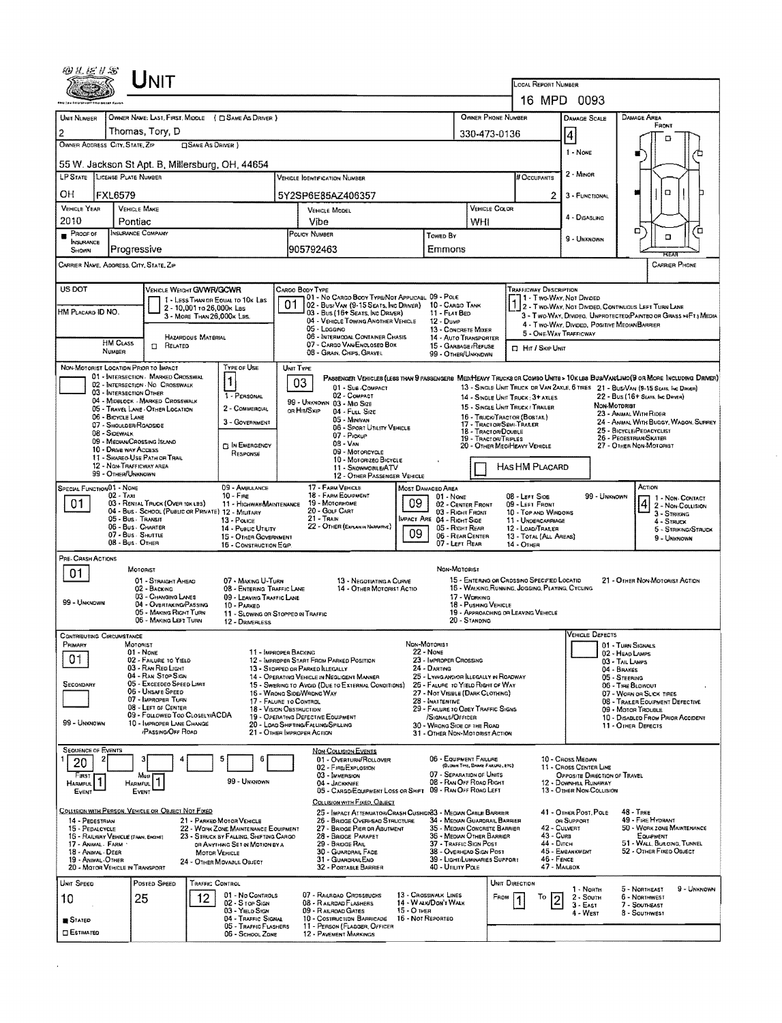|                                                         |                                         | UNIT                                                                                   |                                                         |                                                                                |                                                                                                                                            |                                          |                                                                                                                                                   |             |                                                                      |                                                                  |                                             |                                                                                                                                   |                                                                                                                        |                                                         |                                                      |                                       |
|---------------------------------------------------------|-----------------------------------------|----------------------------------------------------------------------------------------|---------------------------------------------------------|--------------------------------------------------------------------------------|--------------------------------------------------------------------------------------------------------------------------------------------|------------------------------------------|---------------------------------------------------------------------------------------------------------------------------------------------------|-------------|----------------------------------------------------------------------|------------------------------------------------------------------|---------------------------------------------|-----------------------------------------------------------------------------------------------------------------------------------|------------------------------------------------------------------------------------------------------------------------|---------------------------------------------------------|------------------------------------------------------|---------------------------------------|
|                                                         |                                         |                                                                                        |                                                         |                                                                                |                                                                                                                                            |                                          |                                                                                                                                                   |             |                                                                      |                                                                  |                                             | <b>LOCAL REPORT NUMBER</b>                                                                                                        | 16 MPD 0093                                                                                                            |                                                         |                                                      |                                       |
| UNIT NUMBER                                             |                                         |                                                                                        |                                                         | OWNER NAME: LAST, FIRST, MIDDLE ( C SAME AS DRIVER )                           |                                                                                                                                            |                                          |                                                                                                                                                   |             |                                                                      |                                                                  | OWNER PHONE NUMBER                          |                                                                                                                                   | DAMAGE SCALE                                                                                                           | DAMAGE AREA                                             |                                                      |                                       |
| 2                                                       |                                         | Thomas, Tory, D                                                                        |                                                         |                                                                                |                                                                                                                                            | 330-473-0136                             |                                                                                                                                                   |             |                                                                      |                                                                  |                                             |                                                                                                                                   |                                                                                                                        | FRONT                                                   |                                                      |                                       |
| OWNER ADDRESS CITY, STATE, ZIP                          |                                         |                                                                                        | <b>CISAME AS DRIVER</b> )                               |                                                                                |                                                                                                                                            |                                          |                                                                                                                                                   |             |                                                                      |                                                                  |                                             | 4<br>1 - NONE                                                                                                                     |                                                                                                                        | п                                                       |                                                      |                                       |
| 55 W. Jackson St Apt. B, Millersburg, OH, 44654         |                                         |                                                                                        |                                                         |                                                                                |                                                                                                                                            |                                          |                                                                                                                                                   |             |                                                                      |                                                                  |                                             |                                                                                                                                   |                                                                                                                        |                                                         |                                                      |                                       |
| LP STATE LICENSE PLATE NUMBER                           |                                         |                                                                                        |                                                         |                                                                                |                                                                                                                                            |                                          | <b>VEHICLE IOENTIFICATION NUMBER</b>                                                                                                              |             |                                                                      |                                                                  |                                             | # OCCUPANTS                                                                                                                       | 2 - MINOR                                                                                                              |                                                         |                                                      |                                       |
| OН                                                      | <b>FXL6579</b>                          |                                                                                        |                                                         |                                                                                |                                                                                                                                            |                                          | 5Y2SP6E85AZ406357                                                                                                                                 |             |                                                                      |                                                                  |                                             | 2                                                                                                                                 | 3 - FUNCTIONAL                                                                                                         |                                                         | Ω                                                    |                                       |
| VEHICLE YEAR<br>2010                                    | Pontiac                                 | <b>VEHICLE MAKE</b>                                                                    |                                                         |                                                                                |                                                                                                                                            | Vibe                                     | VEHICLE MODEL                                                                                                                                     |             |                                                                      | WHI                                                              | VEHICLE COLOR                               |                                                                                                                                   | 4 - DISABLING                                                                                                          |                                                         |                                                      |                                       |
| Proof of<br>INSURANCE                                   |                                         | INSURANCE COMPANY                                                                      |                                                         |                                                                                |                                                                                                                                            | POLICY NUMBER                            |                                                                                                                                                   |             | Towed By                                                             |                                                                  |                                             |                                                                                                                                   | 9 - UNKNOWN                                                                                                            | ۵                                                       | α                                                    | α                                     |
| SHOWN                                                   | Progressive                             |                                                                                        |                                                         |                                                                                |                                                                                                                                            | 905792463                                |                                                                                                                                                   |             | Emmons                                                               |                                                                  |                                             |                                                                                                                                   |                                                                                                                        |                                                         |                                                      |                                       |
| CARRIER NAME, ADDRESS, CITY, STATE, ZIP                 |                                         |                                                                                        |                                                         |                                                                                |                                                                                                                                            |                                          |                                                                                                                                                   |             |                                                                      |                                                                  |                                             |                                                                                                                                   |                                                                                                                        |                                                         | <b>CARRIER PHONE</b>                                 |                                       |
| US DOT                                                  |                                         | VEHICLE WEIGHT GWWR/GCWR                                                               |                                                         |                                                                                |                                                                                                                                            | CARGO BODY TYPE                          | 01 - No CARGO BOOY TYPE/NOT APPLICABL 09 - POLE                                                                                                   |             |                                                                      |                                                                  |                                             | TRAFFICWAY DESCRIPTION<br>1-11-Two-Way, Not Divideo                                                                               |                                                                                                                        |                                                         |                                                      |                                       |
| HM PLACARD ID NO.                                       |                                         |                                                                                        | 2 - 10,001 to 26,000x Las<br>3 - MORE THAN 26,000x LBS. | 1 - LESS THAN OR EQUAL TO 10K LBS                                              | 01                                                                                                                                         |                                          | 02 - Bus/Van (9-15 Seats, Inc Driver)<br>03 - Bus (16+ Seats, INC DRIVER)                                                                         |             | 10 - CARGO TANK<br>11 - FLAT BED                                     |                                                                  |                                             |                                                                                                                                   | 2 - Two-Way, Not Divided, Continuous Left Turn Lane<br>3 - Two-WAY, DIVIDEO, UNPROTECTED (PAINTEO OR GRASS >4F1) MEDIA |                                                         |                                                      |                                       |
|                                                         |                                         |                                                                                        |                                                         |                                                                                |                                                                                                                                            |                                          | 04 - VEHICLE TOWING ANOTHER VEHICLE<br>05 - Loggino                                                                                               |             | 12 - DuмP<br>13 - CONCRETE MIXER                                     |                                                                  |                                             | 5 - ONE-WAY TRAFFICWAY                                                                                                            | 4 - Two-Way, Divided, Positive Median BARRIER                                                                          |                                                         |                                                      |                                       |
|                                                         | <b>HM CLASS</b><br>NUMBER               | RELATED<br>$\Box$                                                                      | <b>HAZARDOUS MATERIAL</b>                               |                                                                                |                                                                                                                                            |                                          | 06 - INTERMODAL CONTAINER CHASIS<br>07 - CARGO VAN ENCLOSED BOX<br>08 - Gran, Chips, Gravel                                                       |             |                                                                      | 14 - AUTO TRANSPORTER<br>15 - GARBAGE / REFUSE<br>Hr / Skip Unit |                                             |                                                                                                                                   |                                                                                                                        |                                                         |                                                      |                                       |
| NON-MOTORIST LOCATION PRIOR TO IMPACT                   |                                         |                                                                                        |                                                         | TYPE OF USE                                                                    |                                                                                                                                            | UNIT TYPE                                |                                                                                                                                                   |             | 99 - OTHER/UNKNOWN                                                   |                                                                  |                                             |                                                                                                                                   |                                                                                                                        |                                                         |                                                      |                                       |
|                                                         |                                         | 01 - INTERSECTION MARKED CROSSWAL<br>02 - INTERSECTION - NO CROSSWALK                  |                                                         | 1                                                                              |                                                                                                                                            | 03                                       | PASSENGER VENICLES (LESS THAN 9 PASSENGERS MEDIHEAVY TRUCKS OR COMBO UNITS > 10KLBS BUS/VAN/LIMO (9 OR MORE INCLUDING DRIVER)<br>01 - SUB-COMPACT |             |                                                                      |                                                                  |                                             |                                                                                                                                   | 13 - SINGLE UNIT TRUCK OR VAN ZAXLE, 6 TIRES 21 - BUS/VAN (9-15 SEATS, INC DRIVER)                                     |                                                         |                                                      |                                       |
|                                                         | 03 - INTERSECTION OTHER                 | 04 - MIDBLOCK - MARKED CROSSWALK                                                       |                                                         | 1 - PERSONAL                                                                   |                                                                                                                                            |                                          | 02 - COMPACT<br>99 - UNKNOWN 03 - MID SIZE                                                                                                        |             |                                                                      |                                                                  |                                             | 14 - SINGLE UNIT TRUCK: 3+ AXLES<br>15 - SINGLE UNIT TRUCK / TRAILER                                                              |                                                                                                                        | 22 - Bus (16+ Sears, Inc Deven)<br>NON-MOTORIST         |                                                      |                                       |
|                                                         | 06 - BICYCLE LANE                       | 05 - TRAVEL LANE - OTHER LOCATION                                                      |                                                         | 2 - COMMERCIAL<br>3 - GOVERNMENT                                               |                                                                                                                                            | or Hit/Skip                              | 04 - FULL SIZE<br>05 - Minivan                                                                                                                    |             |                                                                      |                                                                  | 17 - TRACTOR/SEMI-TRAILER                   | 16 - TRUCK/TRACTOR (BOSTAIL)                                                                                                      |                                                                                                                        | 23 - ANIMAL WITH RIDER                                  |                                                      | 24 - ANIMAL WITH BUGGY, WAGON, SURREY |
|                                                         | 07 - SHOULDER/ROADSIDE<br>08 - SIDEWALK | 09 - Median/Crossing Island                                                            |                                                         |                                                                                |                                                                                                                                            |                                          | 06 - SPORT UTILITY VEHICLE<br>07 - Pickup                                                                                                         |             |                                                                      |                                                                  | 18 - TRACTOR/DOUBLE<br>19 - TRACTOR/TRIPLES |                                                                                                                                   | 25 - BICYCLE/PEDACYCLIST<br>26 - PEOESTRIAN/SKATER                                                                     |                                                         |                                                      |                                       |
|                                                         | 10 - DRIVE WAY ACCESS                   | 11 - SHAREO-USE PATH OR TRAIL                                                          |                                                         | D IN EMERGENCY<br>RESPONSE                                                     |                                                                                                                                            |                                          | 08 - VAN<br>09 - MOTORCYCLE<br>10 - Motorizeo Bicycle                                                                                             |             |                                                                      |                                                                  |                                             | 20 - OTHER MEDIHEAVY VEHICLE                                                                                                      |                                                                                                                        | 27 - OTHER NON-MOTORIST                                 |                                                      |                                       |
|                                                         | 99 - OTHER/UNKNOWN                      | 12 - NON-TRAFFICWAY AREA                                                               |                                                         |                                                                                | 11 - SNOWMOBILE/ATV<br>12 - OTHER PASSENGER VEHICLE                                                                                        |                                          |                                                                                                                                                   |             |                                                                      | HAS HM PLACARD                                                   |                                             |                                                                                                                                   |                                                                                                                        |                                                         |                                                      |                                       |
| SPECIAL FUNCTION 01 - NONE                              | 02 - Taxi                               |                                                                                        |                                                         | 09 - AMBULANCE<br>$10 -$ Fine                                                  |                                                                                                                                            |                                          | 17 - FARM VEHICLE<br>18 - FARM EQUIPMENT                                                                                                          |             | MOST DAMAGED AREA<br>01 - NONE                                       |                                                                  |                                             | 08 - LEFT SIDE                                                                                                                    | 99 - UNKNOWN                                                                                                           |                                                         | ACTION                                               |                                       |
| 01                                                      |                                         | 03 - RENTAL TRUCK (OVER 10KLBS)<br>04 - BUS - SCHOOL (PUBLIC OR PRIVATE) 12 - MILITARY |                                                         | 11 - HIGHWAYMAINTENANCE                                                        | 09<br>19 - Мотопноме<br>02 - CENTER FRONT<br>20 - GOLF CART<br>03 - Right Front                                                            |                                          |                                                                                                                                                   |             |                                                                      |                                                                  | 09 - LEFT FRONT<br>10 - TOP AND WINDOWS     |                                                                                                                                   |                                                                                                                        |                                                         | 1 - Non-Contact<br>2 - Non-Coulision<br>3 - STRIKING |                                       |
|                                                         | 05 - Bus - Transit                      | 06 - Bus. CHARTER                                                                      |                                                         | 13 - POLICE<br>14 - PUBLIC UTILITY                                             | 21 - Train<br>MPACT ARE 04 - RIGHT SIDE<br>22 - OTHER (EXPLAN IN NARRATIVE)<br>05 - RIGHT REAR<br>09<br>06 - REAR CENTER<br>07 - LEFT REAR |                                          |                                                                                                                                                   |             |                                                                      |                                                                  | 11 - UNDERCARRIAGE<br>12 - LOAD/TRALER      |                                                                                                                                   | 4 - STRUCK                                                                                                             |                                                         | 5 - STRIKING/STRUCK                                  |                                       |
|                                                         | 07 - Bus - SHUTTLE<br>08 - Bus - OTHER  |                                                                                        |                                                         | 15 - OTHER GOVERNMENT<br>16 - CONSTRUCTION EQP.                                |                                                                                                                                            |                                          |                                                                                                                                                   |             |                                                                      | 13 - TOTAL (ALL AREAS)<br>14 - OTHER                             |                                             | 9 - UNKNOWN                                                                                                                       |                                                                                                                        |                                                         |                                                      |                                       |
| PRE- CRASH ACTIONS                                      |                                         | MOTORIST                                                                               |                                                         |                                                                                |                                                                                                                                            |                                          |                                                                                                                                                   |             |                                                                      |                                                                  |                                             |                                                                                                                                   |                                                                                                                        |                                                         |                                                      |                                       |
| 01                                                      |                                         | 01 - STRAIGHT AHEAD                                                                    |                                                         | 07 - MAKING U-TURN                                                             |                                                                                                                                            | NON-MOTORIST<br>13 - Negotiating a Curve |                                                                                                                                                   |             |                                                                      |                                                                  |                                             | 15 - ENTERING OR CROSSINO SPECIFIED LOCATIO<br>21 - OTHER NON-MOTORIST ACTION<br>15 - WALKING, RUNNING, JOGGING, PLAYING, CYCLING |                                                                                                                        |                                                         |                                                      |                                       |
| 99 - UNKNOWN                                            |                                         | 02 - BACKING<br>03 - CHANGING LANES<br>04 - OVERTAKING/PASSING                         |                                                         | 08 - Entering Traffic Lane<br>09 - LEAVING TRAFFIC LANE<br>10 - PARKED         | 14 - OTHER MOTORIST ACTIO<br>17 - WORKING<br>18 - PUSHING VEHICLE<br>11 - SLOWING OR STOPPEO IN TRAFFIC<br>20 - STANDING                   |                                          |                                                                                                                                                   |             |                                                                      |                                                                  |                                             |                                                                                                                                   |                                                                                                                        |                                                         |                                                      |                                       |
|                                                         |                                         | 05 - MAKING RIGHT TURN<br>06 - MAKING LEFT TURN                                        |                                                         | 12 - DRIVERLESS                                                                |                                                                                                                                            |                                          |                                                                                                                                                   |             |                                                                      |                                                                  | 19 - APPROACHING OR LEAVING VEHICLE         |                                                                                                                                   |                                                                                                                        |                                                         |                                                      |                                       |
| <b>CONTRIBUTING CIRCUMSTANCE</b>                        |                                         |                                                                                        |                                                         |                                                                                |                                                                                                                                            |                                          |                                                                                                                                                   |             |                                                                      |                                                                  |                                             |                                                                                                                                   | VEHICLE DEFECTS                                                                                                        |                                                         |                                                      |                                       |
| Primary<br>01                                           |                                         | MOTORIST<br>01 - NONE<br>02 - FAILURE TO YIELD                                         |                                                         | 11 - IMPROPER BACKING                                                          |                                                                                                                                            |                                          | 12 - IMPROPER START FROM PARKED POSITION                                                                                                          |             | NON-MOTORIST<br>22 - NONE<br>23 - IMPROPER CROSSING                  |                                                                  |                                             |                                                                                                                                   |                                                                                                                        | 01 - TURN SIGNALS<br>02 - HEAD LAMPS                    |                                                      |                                       |
|                                                         |                                         | 03 - RAN RED LIGHT<br>04 - RAN STOP SIGN                                               |                                                         |                                                                                |                                                                                                                                            |                                          | 13 - STOPPED OR PARKED ILLEGALLY<br>14 - OPERATING VEHICLE IN NEGLIGENT MANNER                                                                    |             | 24 - DARTING<br>25 - LYING AND/OR ILLEGALLY IN ROADWAY               |                                                                  |                                             | 03 - TAIL LAMPS<br>04 - BRAKES<br>05 - STEERING                                                                                   |                                                                                                                        |                                                         |                                                      |                                       |
| SECONDARY                                               |                                         | 05 - Exceeded Speed Limit<br>06 - UNSAFE SPEED                                         |                                                         | 16 - WRONG SIDE/WRONG WAY                                                      |                                                                                                                                            |                                          | 15 - Swering to Avoid (Due to External Conditions)                                                                                                |             | 26 - FALURE TO YIELD RIGHT OF WAY<br>27 - NOT VISBLE (DARK CLOTHING) |                                                                  |                                             |                                                                                                                                   |                                                                                                                        | 06 - THE BLOWOUT<br>07 - WORN OR SLICK TIRES            |                                                      |                                       |
|                                                         |                                         | 07 - IMPROPER TURN<br>08 - LEFT OF CENTER                                              |                                                         |                                                                                | 17 - FALURE TO CONTROL<br>28 - INATTENTIVE<br><b>18 - VISION OBSTRUCTION</b><br>29 - FAILURE TO OBEY TRAFFIC SIGNS                         |                                          |                                                                                                                                                   |             |                                                                      |                                                                  |                                             |                                                                                                                                   |                                                                                                                        | 08 - TRALER EQUIPMENT DEFECTIVE<br>09 - MOTOR TROUBLE   |                                                      |                                       |
| 99 - Unknown                                            |                                         | 09 - Faulowed Too Closel wACDA<br>10 - IMPROPER LANE CHANGE<br><b>PASSING/OFF ROAD</b> |                                                         | 21 - OTHER IMPROPER ACTION                                                     |                                                                                                                                            |                                          | 19 - OPERATING DEFECTIVE EQUIPMENT<br>20 - LOAO SHIFTING/FALLING/SPILLING                                                                         |             | /SIGNALS/OFFICER<br>30 - WHONG SIDE OF THE ROAD                      |                                                                  |                                             |                                                                                                                                   |                                                                                                                        | 10 - DISABLED FROM PRIOR ACCIDENT<br>11 - OTHER DEFECTS |                                                      |                                       |
| <b>SEQUENCE OF EVENTS</b>                               |                                         |                                                                                        |                                                         |                                                                                |                                                                                                                                            |                                          | NON COLLISION EVENTS                                                                                                                              |             | 31 - OTHER NON-MOTORIST ACTION                                       |                                                                  |                                             |                                                                                                                                   |                                                                                                                        |                                                         |                                                      |                                       |
| 2<br>20                                                 |                                         | 3                                                                                      |                                                         | 5<br>6                                                                         |                                                                                                                                            |                                          | 01 - OVERTURN/ROLLOVER<br>02 - FIRE/EXPLOSION                                                                                                     |             | 06 - EQUIPMENT FAILURE                                               |                                                                  | (BLOWN TIRE, BRAKE FAILURE, ETC)            |                                                                                                                                   | 10 - Cross Meorn<br>11 - CROSS CENTER LINE                                                                             |                                                         |                                                      |                                       |
| FIRST<br><b>HARMFUL</b>                                 |                                         | Ması<br><b>HARMFUL</b>                                                                 |                                                         | 99 - UNKNOWN                                                                   |                                                                                                                                            |                                          | 03 - IMMERSION<br>04 - JACKKNIFE                                                                                                                  |             | 07 - SEPARATION OF UNITS<br>08 - RAN OFF ROAD RIGHT                  |                                                                  |                                             |                                                                                                                                   | OPPOSITE DIRECTION OF TRAVEL<br>12 - DOWNHILL RUNAWAY                                                                  |                                                         |                                                      |                                       |
| Event                                                   |                                         | EVENT                                                                                  |                                                         |                                                                                |                                                                                                                                            |                                          | 05 - CARGO/EQUIPMENT LOSS OR SHIFT 09 - RAN OFF ROAD LEFT<br>COLLISION WITH FIXED, OBJECT                                                         |             |                                                                      |                                                                  |                                             |                                                                                                                                   | 13 - OTHER NON-COLLISION                                                                                               |                                                         |                                                      |                                       |
| 14 - PEDESTRIAN                                         |                                         | COLLISION WITH PERSON, VEHICLE OR OBJECT NOT FIXED                                     |                                                         | 21 - PARKED MOTOR VEHICLE                                                      |                                                                                                                                            |                                          | 25 - IMPACT ATTENUATOR/CRASH CUSHION83 - MEDIAN CABLE BARRIER<br>26 - BRIDGE OVERHEAD STRUCTURE                                                   |             | 34 - MEDIAN GUARDRAIL BARRIER                                        |                                                                  |                                             |                                                                                                                                   | 41 - OTHER POST, POLE<br>on Support                                                                                    | $48 -$ TREE                                             | 49 - FIRE HYDRANT                                    |                                       |
| 15 - PEDALCYCLE<br>16 - RAILWAY VEHICLE (TRADI, ENCONE) |                                         |                                                                                        |                                                         | 22 - WORK ZONE MAINTENANCE EQUIPMENT<br>23 - STRUCK BY FALLING, SHIFTING CARGO |                                                                                                                                            |                                          | 27 - BRIDGE PIER OR ABUTMENT<br>28 - BRIDGE PARAPET                                                                                               |             | 35 - MEDIAN CONCRETE BARRIER<br>36 - MEDIAN OTHER BARRIER            |                                                                  |                                             | <b>43 - Cura</b>                                                                                                                  | 42 - CULVERT                                                                                                           |                                                         | 50 - WORK ZONE MAINTENANCE<br>EQUIPMENT              |                                       |
| 17 - Animal . Farm<br>18 - ANIMAL DEER                  |                                         |                                                                                        | MOTOR VEHICLE                                           | OR ANYTHING SET IN MOTION BY A                                                 |                                                                                                                                            |                                          | 29 - BRIDGE RAIL<br>30 - GUARDRAIL FACE                                                                                                           |             | 37 - TRAFFIC SIGN POST<br>38 - Overhead Sign Post                    |                                                                  |                                             | 44 - Олгон                                                                                                                        | 45 - EMBANKMENT                                                                                                        |                                                         | 51 - WALL, BURONG, TUNNEL<br>52 - OTHER FIXED OBJECT |                                       |
| 19 - ANIMAL OTHER<br>20 - MOTOR VEHICLE IN TRANSPORT    |                                         |                                                                                        |                                                         | 24 - OTHER MOVABLE OBJECT                                                      |                                                                                                                                            |                                          | 31 - GUARDRAILEND<br>32 - PORTABLE BARRIER                                                                                                        |             | 39 - LIGHT/LUMINARIES SUPPORT<br>40 - UTILITY POLE                   |                                                                  |                                             | 46 - FENCE                                                                                                                        | 47 - MAILBOX                                                                                                           |                                                         |                                                      |                                       |
| <b>UNIT SPEED</b>                                       |                                         | POSTED SPEED                                                                           | TRAFFIC CONTROL                                         |                                                                                |                                                                                                                                            |                                          |                                                                                                                                                   |             |                                                                      |                                                                  | UNIT DIRECTION                              |                                                                                                                                   | 1 - North                                                                                                              | 5 - NORTHEAST                                           |                                                      | 9 - UNKNOWN                           |
| 10                                                      |                                         | 25                                                                                     | 12                                                      | 01 - No CONTROLS<br>02 - S TOP SIGN<br>03 - YIELD SIGN                         |                                                                                                                                            |                                          | 07 - RAILROAD CROSSBUCKS<br>08 - RAILROAD FLASHERS<br>09 - RAILROAD GATES                                                                         | 15 - О тная | 13 - Crosswalk LINES<br>14 - WALK/DON'T WALK                         |                                                                  | From                                        | То                                                                                                                                | $2 -$ South<br>$3 - East$                                                                                              | 6 - NORTHWEST<br>7 - SOUTHEAST                          |                                                      |                                       |
| STATED                                                  |                                         |                                                                                        |                                                         | 04 - TRAFFIC SIGNAL<br>05 - TRAFFIC FLASHERS                                   |                                                                                                                                            |                                          | 10 - COSTRUCTION BARRICADE<br>11 - PERSON (FLAGGER, OFFICER                                                                                       |             | 16 - Not Reported                                                    |                                                                  |                                             |                                                                                                                                   | 4 - West                                                                                                               | 8 - SOUTHWEST                                           |                                                      |                                       |
| <b>ESTIMATED</b>                                        |                                         |                                                                                        |                                                         | 06 - SCHOOL ZONE                                                               |                                                                                                                                            |                                          | 12 - PAVEMENT MARKINGS                                                                                                                            |             |                                                                      |                                                                  |                                             |                                                                                                                                   |                                                                                                                        |                                                         |                                                      |                                       |

 $\mathcal{A}^{\mathcal{A}}$  .

 $\sim$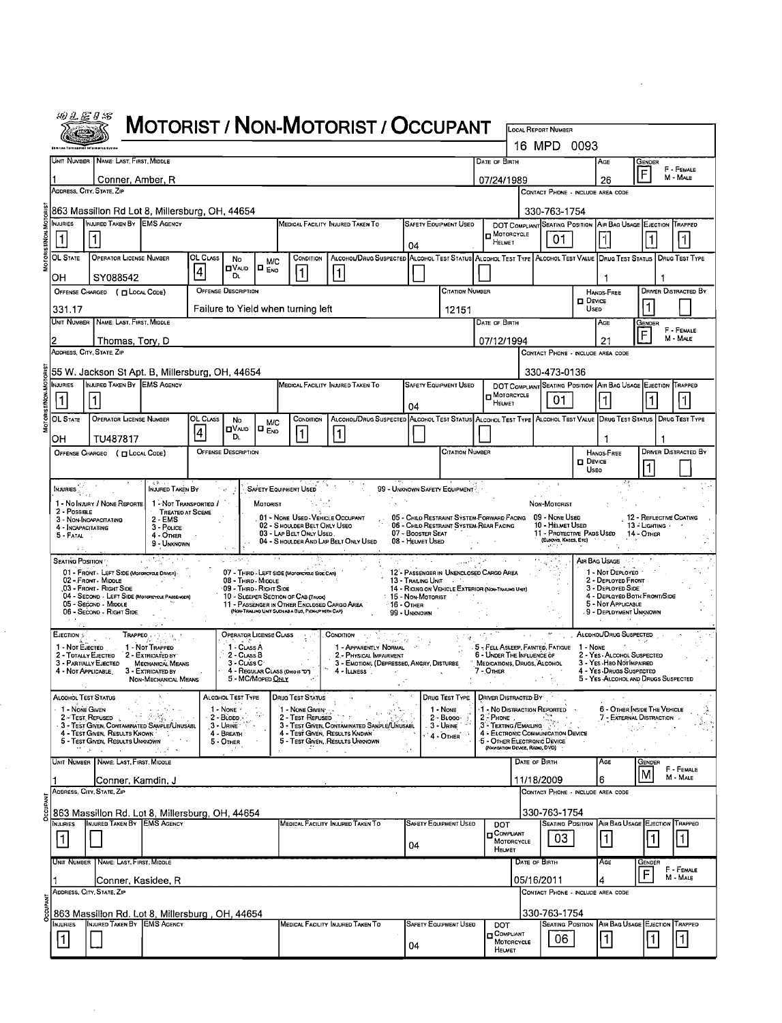| ны н<br>£Ξ<br>. . | 도 |
|-------------------|---|
|                   |   |

|                                                                                                                                                                                                                                                                                | <i>אט פ</i> פ ש                                                                                              |                                                                                                                                                                                                                        |                                       |                 |                                                 |                   |                                                                                                   | <b>MOTORIST / NON-MOTORIST / OCCUPANT</b>                                                        |                            |                                                                          |                                     |                                                                |                                                                |                                                                         |                                 |                           |  |  |
|--------------------------------------------------------------------------------------------------------------------------------------------------------------------------------------------------------------------------------------------------------------------------------|--------------------------------------------------------------------------------------------------------------|------------------------------------------------------------------------------------------------------------------------------------------------------------------------------------------------------------------------|---------------------------------------|-----------------|-------------------------------------------------|-------------------|---------------------------------------------------------------------------------------------------|--------------------------------------------------------------------------------------------------|----------------------------|--------------------------------------------------------------------------|-------------------------------------|----------------------------------------------------------------|----------------------------------------------------------------|-------------------------------------------------------------------------|---------------------------------|---------------------------|--|--|
|                                                                                                                                                                                                                                                                                |                                                                                                              |                                                                                                                                                                                                                        |                                       |                 |                                                 |                   |                                                                                                   |                                                                                                  |                            |                                                                          |                                     |                                                                | LOCAL REPORT NUMBER<br>16 MPD 0093                             |                                                                         |                                 |                           |  |  |
|                                                                                                                                                                                                                                                                                |                                                                                                              | UNIT NUMBER   NAME: LAST, FIRST, MIDDLE<br>DATE OF BIRTH                                                                                                                                                               |                                       |                 |                                                 |                   |                                                                                                   |                                                                                                  |                            |                                                                          |                                     |                                                                |                                                                | Age<br>26                                                               | Gender<br>F - FEMALE<br>F       |                           |  |  |
|                                                                                                                                                                                                                                                                                |                                                                                                              | Conner, Amber, R<br>07/24/1989<br>ADDRESS, CITY, STATE, ZIP                                                                                                                                                            |                                       |                 |                                                 |                   |                                                                                                   |                                                                                                  |                            |                                                                          | CONTACT PHONE - INCLUDE AREA CODE   | M - MALE                                                       |                                                                |                                                                         |                                 |                           |  |  |
| 863 Massillon Rd Lot 8, Millersburg, OH, 44654<br>330-763-1754                                                                                                                                                                                                                 |                                                                                                              |                                                                                                                                                                                                                        |                                       |                 |                                                 |                   |                                                                                                   |                                                                                                  |                            |                                                                          |                                     |                                                                |                                                                |                                                                         |                                 |                           |  |  |
|                                                                                                                                                                                                                                                                                | NJURIES                                                                                                      | INJURED TAKEN BY EMS AGENCY<br>MEDICAL FACILITY INJURED TAKEN TO<br><b>SAFETY EQUIPMENT USED</b>                                                                                                                       |                                       |                 |                                                 |                   |                                                                                                   |                                                                                                  |                            |                                                                          |                                     |                                                                | DOT COMPLIANT SEATING POSITION AIR BAG USAGE EJECTION TRAPPED  |                                                                         |                                 |                           |  |  |
|                                                                                                                                                                                                                                                                                | 1                                                                                                            |                                                                                                                                                                                                                        |                                       |                 |                                                 |                   |                                                                                                   |                                                                                                  | 04                         |                                                                          | $\blacksquare$ Motorcycle<br>HELMET |                                                                | 01                                                             |                                                                         |                                 | 1                         |  |  |
|                                                                                                                                                                                                                                                                                | <b>OL STATE</b>                                                                                              | <b>OPERATOR LICENSE NUMBER</b><br>OL CLASS<br>ALCOHOL/DRUG SUSPECTED ALCOHOL TEST STATUS ALCOHOL TEST TYPE ALCOHOL TEST VALUE DRUG TEST STATUS<br>CONDITION<br>No<br><b>M/C</b><br><b>O</b> VALID<br>I¤ <sub>ENO</sub> |                                       |                 |                                                 |                   |                                                                                                   |                                                                                                  |                            |                                                                          |                                     |                                                                |                                                                |                                                                         |                                 | <b>DRUG TEST TYPE</b>     |  |  |
|                                                                                                                                                                                                                                                                                | 4<br>$\vert$ 1<br>$\vert$ 1<br>DL.<br>SY088542<br>он<br><b>OFFENSE DESCRIPTION</b><br><b>CITATION NUMBER</b> |                                                                                                                                                                                                                        |                                       |                 |                                                 |                   |                                                                                                   |                                                                                                  |                            |                                                                          |                                     |                                                                |                                                                |                                                                         |                                 |                           |  |  |
|                                                                                                                                                                                                                                                                                | OFFENSE CHARGED ( [ LOCAL CODE)<br>Failure to Yield when turning left                                        |                                                                                                                                                                                                                        |                                       |                 |                                                 |                   |                                                                                                   |                                                                                                  |                            |                                                                          |                                     |                                                                |                                                                | <b>HANDS-FREE</b><br><b>O</b> Device<br>Usep                            |                                 | Driver Distracted By<br>1 |  |  |
|                                                                                                                                                                                                                                                                                | 331.17<br>12151<br><b>UNIT NUMBER</b><br>NAME: LAST, FIRST, MIDDLE<br>DATE OF BIRTH                          |                                                                                                                                                                                                                        |                                       |                 |                                                 |                   |                                                                                                   |                                                                                                  |                            |                                                                          |                                     |                                                                |                                                                | AGE                                                                     | Gender                          |                           |  |  |
|                                                                                                                                                                                                                                                                                |                                                                                                              | Thomas, Tory, D                                                                                                                                                                                                        |                                       |                 |                                                 |                   |                                                                                                   |                                                                                                  |                            |                                                                          | 07/12/1994                          |                                                                |                                                                | 21                                                                      | F                               | F - FEMALE<br>M - MALE    |  |  |
|                                                                                                                                                                                                                                                                                | ADDRESS, CITY, STATE, ZIP<br>CONTACT PHONE - INCLUDE AREA CODE                                               |                                                                                                                                                                                                                        |                                       |                 |                                                 |                   |                                                                                                   |                                                                                                  |                            |                                                                          |                                     |                                                                |                                                                |                                                                         |                                 |                           |  |  |
| 55 W. Jackson St Apt. B, Millersburg, OH, 44654<br>330-473-0136<br>INJURED TAKEN BY EMS AGENCY<br><b>INJURIES</b><br>MEDICAL FACILITY INJURED TAKEN TO<br><b>SAFETY EQUIPMENT USED</b><br>DOT COMPLIANT SEATING POSITION                                                       |                                                                                                              |                                                                                                                                                                                                                        |                                       |                 |                                                 |                   |                                                                                                   |                                                                                                  |                            |                                                                          |                                     |                                                                | AIR BAG USAGE EJECTION TRAPPED                                 |                                                                         |                                 |                           |  |  |
|                                                                                                                                                                                                                                                                                | 1                                                                                                            | 1                                                                                                                                                                                                                      |                                       |                 |                                                 |                   |                                                                                                   |                                                                                                  |                            |                                                                          | $\blacksquare$ MOTORCYCLE<br>HELMET |                                                                | 01                                                             | $\vert$ 1                                                               |                                 | $\vert$ 1                 |  |  |
|                                                                                                                                                                                                                                                                                | OL STATE                                                                                                     | <b>OPERATOR LICENSE NUMBER</b>                                                                                                                                                                                         |                                       | OL CLASS        | No                                              | M/C               | CONDITION                                                                                         | ALCOHOL/DRUG SUSPECTED ALCOHOL TEST STATUS ALCOHOL TEST TYPE ALCOHOL TEST VALUE DRUG TEST STATUS | 04                         |                                                                          |                                     |                                                                |                                                                |                                                                         |                                 | DRUG TEST TYPE            |  |  |
|                                                                                                                                                                                                                                                                                | OН                                                                                                           | TU487817                                                                                                                                                                                                               |                                       | $\vert 4 \vert$ | יטוא DV<br>DL                                   | IO <sub>End</sub> | $\vert$ 1 $\vert$                                                                                 |                                                                                                  |                            |                                                                          |                                     |                                                                |                                                                | 1                                                                       |                                 |                           |  |  |
| <b>OFFENSE DESCRIPTION</b><br><b>CITATION NUMBER</b><br>OFFENSE CHARGEO ( [ LOCAL CODE)                                                                                                                                                                                        |                                                                                                              |                                                                                                                                                                                                                        |                                       |                 |                                                 |                   |                                                                                                   |                                                                                                  |                            |                                                                          | HANOS FREE<br>$\square$ Device      |                                                                | <b>DRIVER DISTRACTED BY</b>                                    |                                                                         |                                 |                           |  |  |
|                                                                                                                                                                                                                                                                                |                                                                                                              |                                                                                                                                                                                                                        |                                       |                 |                                                 |                   |                                                                                                   |                                                                                                  |                            |                                                                          |                                     | Useo                                                           |                                                                |                                                                         |                                 |                           |  |  |
| <b>INJURED TAKEN BY</b><br>SAFETY EQUIPMENT USED<br>99 - UNKNOWN SAFETY EQUIPMENT<br><b>NAURIES</b>                                                                                                                                                                            |                                                                                                              |                                                                                                                                                                                                                        |                                       |                 |                                                 |                   |                                                                                                   |                                                                                                  |                            |                                                                          |                                     |                                                                |                                                                |                                                                         |                                 |                           |  |  |
| 1 - No INJURY / NONE REPORTE<br>1 - Not Transported /<br>MOTORIST<br>Non-Motorist<br>2 - Possible<br>TREATED AT SCENE<br>01 - NONE USED - VEHICLE OCCUPANT<br>05 - CHEO RESTRAINT SYSTEM-FORWARD FACING<br>09 - Nove Used<br>12 - REFLECTIVE COATING<br>3 - NON-INCAPACITATING |                                                                                                              |                                                                                                                                                                                                                        |                                       |                 |                                                 |                   |                                                                                                   |                                                                                                  |                            |                                                                          |                                     |                                                                |                                                                |                                                                         |                                 |                           |  |  |
|                                                                                                                                                                                                                                                                                | 4 - INCAPACITATING<br>5 - FATAL.                                                                             |                                                                                                                                                                                                                        | 2 - EMS<br>3 - Pouce<br>4 - OTHER     |                 |                                                 |                   | 02 - S HOULDER BELT ONLY USEO<br>03 - LAP BELT ONLY USED.                                         |                                                                                                  | 07 - BOOSTER SEAT          | 06 - Child Restraint System-Rear Facing                                  |                                     |                                                                | 10 - HELMET USED<br>11 - Protective Pads Used                  |                                                                         | 13 - Lighting<br>14 - OTHER     |                           |  |  |
|                                                                                                                                                                                                                                                                                |                                                                                                              |                                                                                                                                                                                                                        | 9 - UNKNOWN                           |                 |                                                 |                   |                                                                                                   | 04 - S HOULDER AND LAP BELT ONLY USED                                                            | 08 - HELMET USED           |                                                                          |                                     |                                                                | (ELBOWS, KNEES, ETC)                                           |                                                                         |                                 |                           |  |  |
|                                                                                                                                                                                                                                                                                | <b>SEATING POSITION</b>                                                                                      | 01 - FRONT - LEFT SIDE (MOTORCYCLE DRIVER)                                                                                                                                                                             |                                       |                 | s Casti                                         |                   | 07 - THIRD - LEFT SIDE (MOTORCYCLE SIDE CAR)                                                      |                                                                                                  |                            | 12 - PASSENGER IN UNENCLOSED CARGO AREA                                  |                                     |                                                                |                                                                | Air Bag Usage<br>1 - Not DEPLOYED                                       |                                 |                           |  |  |
|                                                                                                                                                                                                                                                                                |                                                                                                              | 02 - FRONT - MIDDLE<br>03 - Front - Right Side<br>04 - SECOND - LEFT SIDE (MOTORCYCLE PASSEMER)                                                                                                                        |                                       |                 | 08 - Third - Micole<br>109 - Third - Right Side |                   | 10 - SLEEPER SECTION OF CAB (TRUCK)                                                               |                                                                                                  | : 15 - Non Motorist        | 13 - Trailing Unit<br>14 - RIGING ON VEHICLE EXTERIOR (NON-TRAIDED UNIT) |                                     |                                                                |                                                                | 2 - DEPLOYED FRONT<br>3 - DEPLOYED SIDE<br>4 - DEPLOYED BOTH FRONT/SIDE |                                 |                           |  |  |
|                                                                                                                                                                                                                                                                                |                                                                                                              | 05 - Second - Middle<br>06 - SECOND - RIGHT SIDE                                                                                                                                                                       |                                       |                 |                                                 |                   | 11 - PASSENGER IN OTHER ENCLOSED CARGO AREA<br>(NON-TRAILING UNIT SUCH AS A BUS, PICKUP WITH CAP) |                                                                                                  | 16 - Отнея<br>99 - Unknown |                                                                          |                                     |                                                                |                                                                | 5 - NOT APPLICABLE<br>9 - DEPLOYMENT UNKNOWN                            |                                 |                           |  |  |
|                                                                                                                                                                                                                                                                                | EJECTION &                                                                                                   | TRAPPEO                                                                                                                                                                                                                |                                       |                 | OPERATOR LICENSE CLASS                          |                   |                                                                                                   | CONDITION                                                                                        |                            |                                                                          |                                     |                                                                |                                                                | ALCOHOL/DRUG SUSPECTED                                                  |                                 |                           |  |  |
|                                                                                                                                                                                                                                                                                | 1 - Not EJECTED<br>2 - TOTALLY EJECTEO                                                                       |                                                                                                                                                                                                                        | 1 - NOT TRAPPED<br>2 - EXTRICATED BY  |                 | $1 - C$ LASS A<br>$2 - C$ LASS $B$              |                   |                                                                                                   | 1 - APPARENTLY NORMAL<br>2 - PHYSICAL IMPAIRMENT                                                 |                            |                                                                          |                                     | 6 - UNDER THE INFLUENCE OF                                     | 5 - FELL ASLEEP, FAINTED, FATIGUE                              | 1 - NONE<br>2 - YES - ALCOHOL SUSPECTED                                 |                                 |                           |  |  |
|                                                                                                                                                                                                                                                                                |                                                                                                              | 3 - PARTIALLY EJECTED<br>4 - NOT APPLICABLE                                                                                                                                                                            | MECHANICAL MEANS<br>3 - EXTRICATED BY |                 | $3 - C$ LASS $C$                                |                   | 4 - REGULAR CLASS (DHOIS D')                                                                      | 3 - EMOTIONL (DEPRESSED, ANGRY, DISTURBE<br>$4 - \text{huness$                                   |                            |                                                                          | 7 - Отнев                           | MEDICATIONS, DRUGS, ALCOHOL                                    |                                                                | 3 - YES HOD NOTIMPAIRED<br>4 - YES-DRUGS SUSPECTED                      |                                 |                           |  |  |
|                                                                                                                                                                                                                                                                                |                                                                                                              |                                                                                                                                                                                                                        | NON-MECHANICAL MEANS                  |                 | 5 - MC/Moped Only                               |                   |                                                                                                   |                                                                                                  |                            |                                                                          |                                     |                                                                |                                                                | 5 - YES-ALCOHOL AND DRUGS SUSPECTED                                     |                                 |                           |  |  |
|                                                                                                                                                                                                                                                                                | Alcohol Test Status<br>1 - None Given                                                                        |                                                                                                                                                                                                                        |                                       |                 | Alcghol Test Type<br>$1 - None$                 |                   | Drug Test Status<br>1 - NONE GIVEN                                                                | 318                                                                                              |                            | Drug Test Type<br>1 - None                                               |                                     | DRIVER DISTRACTED BY<br>1 - No DISTRACTION REPORTED            |                                                                |                                                                         | 6 - OTHER INSIDE THE VEHICLE    |                           |  |  |
|                                                                                                                                                                                                                                                                                |                                                                                                              | 2 - Test, Refused<br>3 - TEST GIVEN, CONTAMINATED SAMPLE/UNUSABL                                                                                                                                                       |                                       |                 | $2 - B$ LODD<br>3 - URINE                       |                   | 2 - Test Rerused                                                                                  | 3 - TEST GIVEN, CONTAMINATED SAMPLE/UNUSABL<br>4 - Test Given, Results Known                     |                            | $2 - B$ Looo-<br>3 - Unine                                               | $2 -$ Phone $\therefore$            | 3 - TEXTING / EMAILING                                         | 4 - ELETRONIC COMMUNICATION DEVICE                             |                                                                         | <b>7 - EXTERNAL DISTRACTION</b> |                           |  |  |
|                                                                                                                                                                                                                                                                                |                                                                                                              | 4 - TEST GIVEN, RESULTS KNOWN<br>5 - Test Given, Results Unknown<br>地区<br><b>Contract</b>                                                                                                                              |                                       |                 | 4 - Breath<br>5 - OTHER                         |                   |                                                                                                   | 5 - TEST GIVEN, RESULTS UNKNOWN                                                                  |                            | $4 - 0$ THER                                                             |                                     | 5 - OTHER ELECTRONIC DEVICE<br>(NAVIGATION DEVICE, RADIO, DVD) |                                                                | $\mathcal{I} \rightarrow$                                               |                                 |                           |  |  |
|                                                                                                                                                                                                                                                                                |                                                                                                              | UNIT NUMBER NAME: LAST, FIRST, MIDDLE                                                                                                                                                                                  |                                       |                 |                                                 |                   |                                                                                                   |                                                                                                  |                            |                                                                          |                                     | DATE OF BIRTH                                                  |                                                                | AGE                                                                     | Gender                          | F - FEMALE                |  |  |
| 6<br>11/18/2009<br>Conner, Kamdin, J                                                                                                                                                                                                                                           |                                                                                                              |                                                                                                                                                                                                                        |                                       |                 |                                                 |                   |                                                                                                   |                                                                                                  |                            |                                                                          |                                     | M                                                              | M - MALE                                                       |                                                                         |                                 |                           |  |  |
| ADDRESS, CITY, STATE, ZIP<br>CONTACT PHONE - INCLUDE AREA CODE                                                                                                                                                                                                                 |                                                                                                              |                                                                                                                                                                                                                        |                                       |                 |                                                 |                   |                                                                                                   |                                                                                                  |                            |                                                                          |                                     |                                                                |                                                                |                                                                         |                                 |                           |  |  |
|                                                                                                                                                                                                                                                                                | <b>INJURIES</b>                                                                                              | 863 Massillon Rd. Lot 8, Millersburg, OH, 44654<br>INJURED TAKEN BY LEMS AGENCY                                                                                                                                        |                                       |                 |                                                 |                   |                                                                                                   | MEDICAL FACILITY INJURED TAKEN TO                                                                |                            | <b>SAFETY EQUIPMENT USED</b>                                             | DOT                                 |                                                                | 330-763-1754<br><b>SEATING POSITION AIR BAG USAGE</b>          |                                                                         | <b>EJECTION</b>                 | TRAPPED                   |  |  |
| <b>D</b> COMPLIANT<br>$\vert$ 1 $\vert$<br>$\mathbf{1}$<br>03<br>MOTORCYCLE<br>04                                                                                                                                                                                              |                                                                                                              |                                                                                                                                                                                                                        |                                       |                 |                                                 |                   |                                                                                                   |                                                                                                  |                            | 1                                                                        | 1                                   |                                                                |                                                                |                                                                         |                                 |                           |  |  |
|                                                                                                                                                                                                                                                                                | UNIT NUMBER                                                                                                  | NAME: LAST, FIRST, MIDDLE                                                                                                                                                                                              |                                       |                 |                                                 |                   |                                                                                                   |                                                                                                  |                            |                                                                          | HELMET                              | DATE OF BIRTH                                                  |                                                                | AGE                                                                     | Gender                          |                           |  |  |
|                                                                                                                                                                                                                                                                                |                                                                                                              | Conner, Kasidee, R                                                                                                                                                                                                     |                                       |                 |                                                 |                   |                                                                                                   |                                                                                                  |                            |                                                                          |                                     | 05/16/2011                                                     |                                                                |                                                                         | F                               | F - FEMALE<br>M - MALE    |  |  |
|                                                                                                                                                                                                                                                                                |                                                                                                              | ADDRESS, CITY, STATE, ZIP                                                                                                                                                                                              |                                       |                 |                                                 |                   |                                                                                                   |                                                                                                  |                            |                                                                          |                                     |                                                                | CONTACT PHONE - INCLUDE AREA CODE                              |                                                                         |                                 |                           |  |  |
|                                                                                                                                                                                                                                                                                | <b>NJURIES</b>                                                                                               | 863 Massillon Rd. Lot 8, Millersburg, OH, 44654<br>INJURED TAKEN BY EMS AGENCY                                                                                                                                         |                                       |                 |                                                 |                   |                                                                                                   | Medical Facility Injured Taken To                                                                |                            | SAFETY EQUIPMENT USED                                                    |                                     |                                                                | 330-763-1754<br><b>SEATING POSITION AIR BAG USAGE EJECTION</b> |                                                                         |                                 | <b>TRAPPED</b>            |  |  |
|                                                                                                                                                                                                                                                                                | $\vert$ 1                                                                                                    |                                                                                                                                                                                                                        |                                       |                 |                                                 |                   |                                                                                                   |                                                                                                  |                            |                                                                          | DOT<br><b>COMPLIANT</b>             | MOTORCYCLE                                                     | 06                                                             | $\vert$ 1 $\vert$                                                       | 1                               | $\vert$ 1                 |  |  |
|                                                                                                                                                                                                                                                                                |                                                                                                              |                                                                                                                                                                                                                        |                                       |                 |                                                 |                   |                                                                                                   |                                                                                                  | 04                         |                                                                          | HELMET                              |                                                                |                                                                |                                                                         |                                 |                           |  |  |